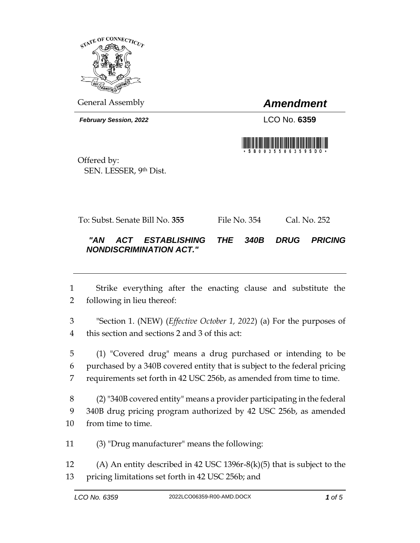

General Assembly *Amendment*

*February Session, 2022* LCO No. **6359**



Offered by: SEN. LESSER, 9th Dist.

To: Subst. Senate Bill No. **355** File No. 354 Cal. No. 252

## *"AN ACT ESTABLISHING THE 340B DRUG PRICING NONDISCRIMINATION ACT."*

 Strike everything after the enacting clause and substitute the following in lieu thereof:

 "Section 1. (NEW) (*Effective October 1, 2022*) (a) For the purposes of this section and sections 2 and 3 of this act:

 (1) "Covered drug" means a drug purchased or intending to be purchased by a 340B covered entity that is subject to the federal pricing requirements set forth in 42 USC 256b, as amended from time to time.

 (2) "340B covered entity" means a provider participating in the federal 340B drug pricing program authorized by 42 USC 256b, as amended from time to time.

(3) "Drug manufacturer" means the following:

 (A) An entity described in 42 USC 1396r-8(k)(5) that is subject to the pricing limitations set forth in 42 USC 256b; and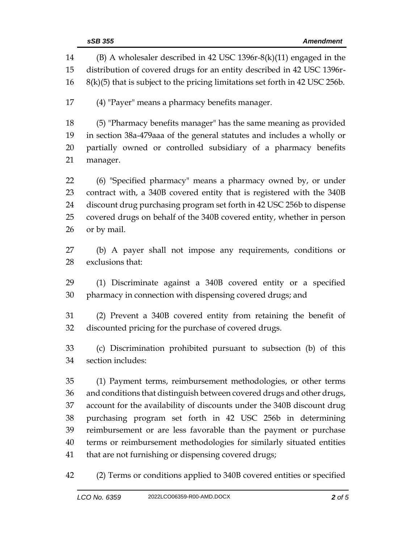|          | sSB 355<br><b>Amendment</b>                                                                                                                    |
|----------|------------------------------------------------------------------------------------------------------------------------------------------------|
| 14<br>15 | $(B)$ A wholesaler described in 42 USC 1396r-8(k)(11) engaged in the<br>distribution of covered drugs for an entity described in 42 USC 1396r- |
| 16       | $8(k)(5)$ that is subject to the pricing limitations set forth in 42 USC 256b.                                                                 |
| 17       | (4) "Payer" means a pharmacy benefits manager.                                                                                                 |
| 18       | (5) "Pharmacy benefits manager" has the same meaning as provided                                                                               |
| 19       | in section 38a-479aaa of the general statutes and includes a wholly or                                                                         |
| 20       | partially owned or controlled subsidiary of a pharmacy benefits                                                                                |
| 21       | manager.                                                                                                                                       |
| 22       | (6) "Specified pharmacy" means a pharmacy owned by, or under                                                                                   |
| 23       | contract with, a 340B covered entity that is registered with the 340B                                                                          |
| 24       | discount drug purchasing program set forth in 42 USC 256b to dispense                                                                          |
| 25       | covered drugs on behalf of the 340B covered entity, whether in person                                                                          |
| 26       | or by mail.                                                                                                                                    |
| 27       | (b) A payer shall not impose any requirements, conditions or                                                                                   |
| 28       | exclusions that:                                                                                                                               |
| 29       | (1) Discriminate against a 340B covered entity or a specified                                                                                  |
| 30       | pharmacy in connection with dispensing covered drugs; and                                                                                      |
| 31       | (2) Prevent a 340B covered entity from retaining the benefit of                                                                                |
| 32       | discounted pricing for the purchase of covered drugs.                                                                                          |
| 33       | (c) Discrimination prohibited pursuant to subsection (b) of this                                                                               |
| 34       | section includes:                                                                                                                              |
| 35       | (1) Payment terms, reimbursement methodologies, or other terms                                                                                 |
| 36       | and conditions that distinguish between covered drugs and other drugs,                                                                         |
| 37       | account for the availability of discounts under the 340B discount drug                                                                         |
| 38       | purchasing program set forth in 42 USC 256b in determining                                                                                     |
| 39       | reimbursement or are less favorable than the payment or purchase                                                                               |
| 40       | terms or reimbursement methodologies for similarly situated entities                                                                           |
| 41       | that are not furnishing or dispensing covered drugs;                                                                                           |
| 42       | (2) Terms or conditions applied to 340B covered entities or specified                                                                          |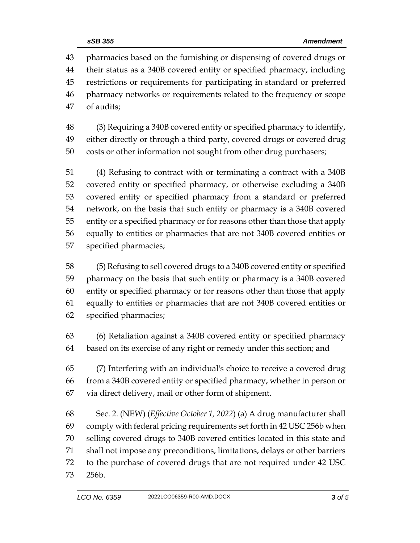pharmacies based on the furnishing or dispensing of covered drugs or their status as a 340B covered entity or specified pharmacy, including restrictions or requirements for participating in standard or preferred pharmacy networks or requirements related to the frequency or scope of audits;

 (3) Requiring a 340B covered entity or specified pharmacy to identify, either directly or through a third party, covered drugs or covered drug costs or other information not sought from other drug purchasers;

 (4) Refusing to contract with or terminating a contract with a 340B covered entity or specified pharmacy, or otherwise excluding a 340B covered entity or specified pharmacy from a standard or preferred network, on the basis that such entity or pharmacy is a 340B covered entity or a specified pharmacy or for reasons other than those that apply equally to entities or pharmacies that are not 340B covered entities or specified pharmacies;

 (5) Refusing to sell covered drugs to a 340B covered entity or specified pharmacy on the basis that such entity or pharmacy is a 340B covered entity or specified pharmacy or for reasons other than those that apply equally to entities or pharmacies that are not 340B covered entities or specified pharmacies;

 (6) Retaliation against a 340B covered entity or specified pharmacy based on its exercise of any right or remedy under this section; and

 (7) Interfering with an individual's choice to receive a covered drug from a 340B covered entity or specified pharmacy, whether in person or via direct delivery, mail or other form of shipment.

 Sec. 2. (NEW) (*Effective October 1, 2022*) (a) A drug manufacturer shall comply with federal pricing requirements set forth in 42 USC 256b when selling covered drugs to 340B covered entities located in this state and shall not impose any preconditions, limitations, delays or other barriers to the purchase of covered drugs that are not required under 42 USC 256b.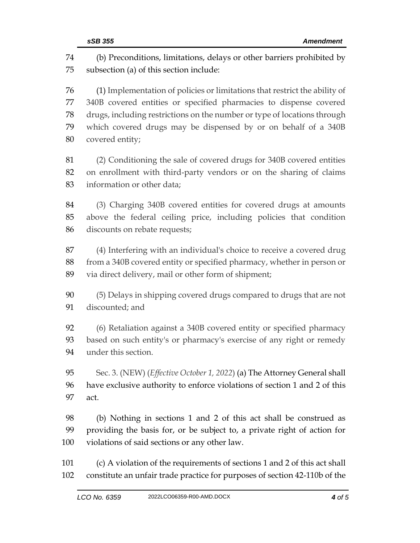(b) Preconditions, limitations, delays or other barriers prohibited by subsection (a) of this section include: (1) Implementation of policies or limitations that restrict the ability of 340B covered entities or specified pharmacies to dispense covered drugs, including restrictions on the number or type of locations through which covered drugs may be dispensed by or on behalf of a 340B covered entity; (2) Conditioning the sale of covered drugs for 340B covered entities on enrollment with third-party vendors or on the sharing of claims information or other data; (3) Charging 340B covered entities for covered drugs at amounts above the federal ceiling price, including policies that condition discounts on rebate requests; (4) Interfering with an individual's choice to receive a covered drug from a 340B covered entity or specified pharmacy, whether in person or via direct delivery, mail or other form of shipment; (5) Delays in shipping covered drugs compared to drugs that are not discounted; and (6) Retaliation against a 340B covered entity or specified pharmacy based on such entity's or pharmacy's exercise of any right or remedy under this section. Sec. 3. (NEW) (*Effective October 1, 2022*) (a) The Attorney General shall have exclusive authority to enforce violations of section 1 and 2 of this act. (b) Nothing in sections 1 and 2 of this act shall be construed as providing the basis for, or be subject to, a private right of action for violations of said sections or any other law. (c) A violation of the requirements of sections 1 and 2 of this act shall constitute an unfair trade practice for purposes of section 42-110b of the